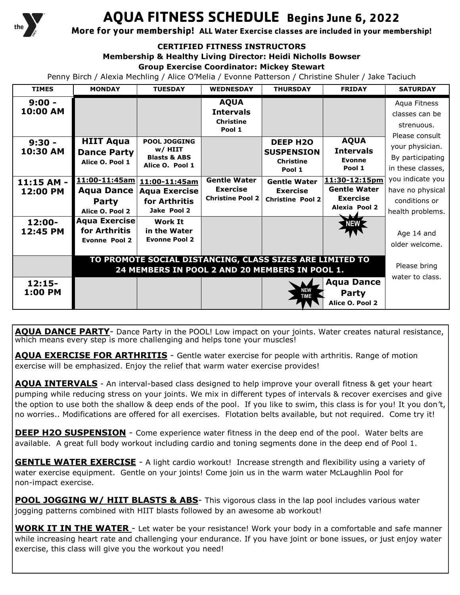

# **AQUA FITNESS SCHEDULE Begins June 6, 2022**

**More for your membership! ALL Water Exercise classes are included in your membership!**

#### **CERTIFIED FITNESS INSTRUCTORS**

**Membership & Healthy Living Director: Heidi Nicholls Bowser**

#### **Group Exercise Coordinator: Mickey Stewart**

Penny Birch / Alexia Mechling / Alice O'Melia / Evonne Patterson / Christine Shuler / Jake Taciuch

| <b>TIMES</b>           | <b>MONDAY</b>                                                                                              | <b>TUESDAY</b>                                                              | <b>WEDNESDAY</b>                                                  | <b>THURSDAY</b>                                                    | <b>FRIDAY</b>                                                                   | <b>SATURDAY</b>                                                           |
|------------------------|------------------------------------------------------------------------------------------------------------|-----------------------------------------------------------------------------|-------------------------------------------------------------------|--------------------------------------------------------------------|---------------------------------------------------------------------------------|---------------------------------------------------------------------------|
| $9:00 -$<br>10:00 AM   |                                                                                                            |                                                                             | <b>AQUA</b><br><b>Intervals</b><br><b>Christine</b><br>Pool 1     |                                                                    |                                                                                 | Aqua Fitness<br>classes can be<br>strenuous.<br>Please consult            |
| $9:30 -$<br>10:30 AM   | <b>HIIT Aqua</b><br><b>Dance Party</b><br>Alice O. Pool 1                                                  | <b>POOL JOGGING</b><br>w/HIIT<br><b>Blasts &amp; ABS</b><br>Alice O. Pool 1 |                                                                   | <b>DEEP H2O</b><br><b>SUSPENSION</b><br><b>Christine</b><br>Pool 1 | <b>AQUA</b><br><b>Intervals</b><br><b>Evonne</b><br>Pool 1                      | your physician.<br>By participating<br>in these classes,                  |
| 11:15 AM -<br>12:00 PM | $11:00 - 11:45$ am<br><b>Aqua Dance</b><br>Party<br>Alice O. Pool 2                                        | 11:00-11:45am<br><b>Aqua Exercise</b><br>for Arthritis<br>Jake Pool 2       | <b>Gentle Water</b><br><b>Exercise</b><br><b>Christine Pool 2</b> | <b>Gentle Water</b><br><b>Exercise</b><br><b>Christine Pool 2</b>  | 11:30-12:15pm<br><b>Gentle Water</b><br><b>Exercise</b><br><b>Alexia Pool 2</b> | you indicate you<br>have no physical<br>conditions or<br>health problems. |
| 12:00-<br>12:45 PM     | <b>Aqua Exercise</b><br>for Arthritis<br><b>Evonne Pool 2</b>                                              | <b>Work It</b><br>in the Water<br><b>Evonne Pool 2</b>                      |                                                                   |                                                                    | <b>NEW</b>                                                                      | Age 14 and<br>older welcome.                                              |
|                        | TO PROMOTE SOCIAL DISTANCING, CLASS SIZES ARE LIMITED TO<br>24 MEMBERS IN POOL 2 AND 20 MEMBERS IN POOL 1. |                                                                             |                                                                   |                                                                    |                                                                                 | Please bring                                                              |
| $12:15-$<br>1:00 PM    |                                                                                                            |                                                                             |                                                                   | <b>NEW</b><br><b>TIME</b>                                          | <b>Aqua Dance</b><br>Party<br>Alice O. Pool 2                                   | water to class.                                                           |

**AQUA DANCE PARTY**- Dance Party in the POOL! Low impact on your joints. Water creates natural resistance, which means every step is more challenging and helps tone your muscles!

**AQUA EXERCISE FOR ARTHRITIS** - Gentle water exercise for people with arthritis. Range of motion exercise will be emphasized. Enjoy the relief that warm water exercise provides!

**AQUA INTERVALS** - An interval-based class designed to help improve your overall fitness & get your heart pumping while reducing stress on your joints. We mix in different types of intervals & recover exercises and give the option to use both the shallow & deep ends of the pool. If you like to swim, this class is for you! It you don't, no worries.. Modifications are offered for all exercises. Flotation belts available, but not required. Come try it!

**DEEP H2O SUSPENSION** - Come experience water fitness in the deep end of the pool. Water belts are available. A great full body workout including cardio and toning segments done in the deep end of Pool 1.

**GENTLE WATER EXERCISE** - A light cardio workout! Increase strength and flexibility using a variety of water exercise equipment. Gentle on your joints! Come join us in the warm water McLaughlin Pool for non-impact exercise.

**POOL JOGGING W/ HIIT BLASTS & ABS**- This vigorous class in the lap pool includes various water jogging patterns combined with HIIT blasts followed by an awesome ab workout!

**WORK IT IN THE WATER** - Let water be your resistance! Work your body in a comfortable and safe manner while increasing heart rate and challenging your endurance. If you have joint or bone issues, or just enjoy water exercise, this class will give you the workout you need!